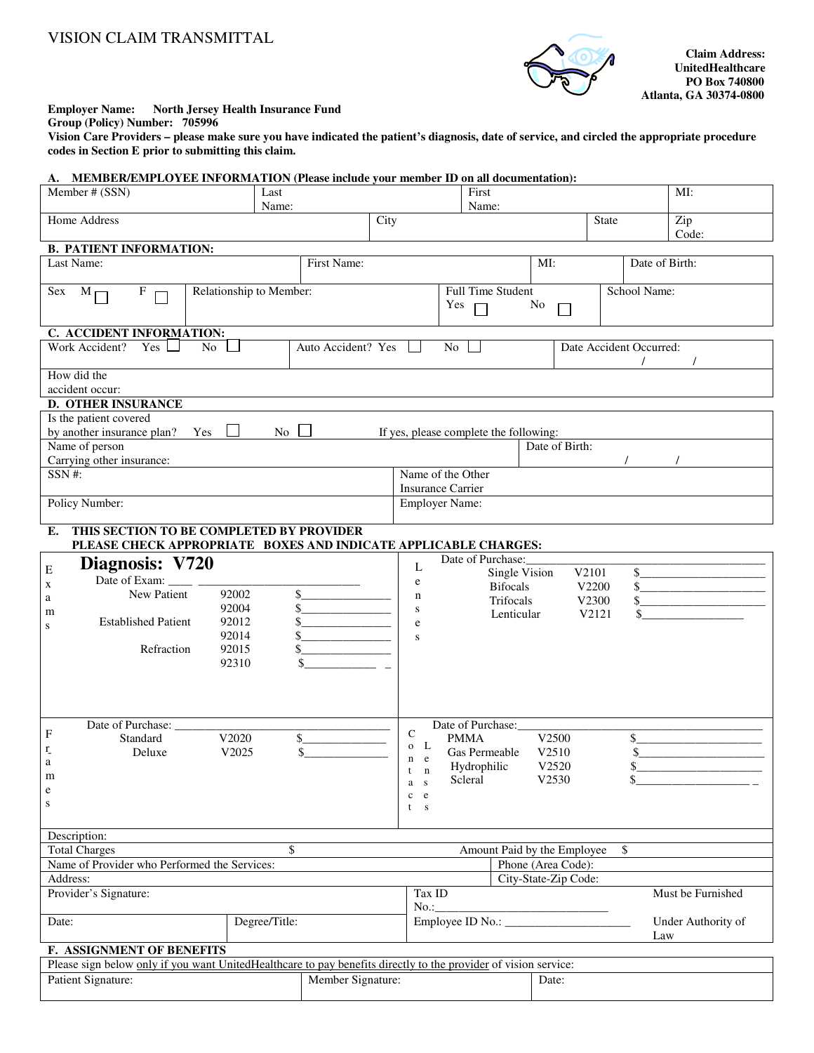## VISION CLAIM TRANSMITTAL



**Claim Address: UnitedHealthcare Atlanta, GA 30374-0800** 

## **Employer Name: North Jersey Health Insurance Fund**

**Group (Policy) Number: 705996** 

**Vision Care Providers – please make sure you have indicated the patient's diagnosis, date of service, and circled the appropriate procedure codes in Section E prior to submitting this claim.** 

| A. MEMBER/EMPLOYEE INFORMATION (Please include your member ID on all documentation):                              |                                   |      |                            |                         |                 |                |                      |                |                    |  |
|-------------------------------------------------------------------------------------------------------------------|-----------------------------------|------|----------------------------|-------------------------|-----------------|----------------|----------------------|----------------|--------------------|--|
| Member # (SSN)<br>Last<br>Name:                                                                                   |                                   |      | First                      |                         |                 |                |                      |                | MI:                |  |
|                                                                                                                   |                                   |      | Name:                      |                         |                 |                |                      |                |                    |  |
| Home Address                                                                                                      |                                   | City |                            |                         |                 |                | <b>State</b>         |                | Zip<br>Code:       |  |
| <b>B. PATIENT INFORMATION:</b>                                                                                    |                                   |      |                            |                         |                 |                |                      |                |                    |  |
| Last Name:<br>First Name:                                                                                         |                                   |      |                            |                         |                 |                |                      | Date of Birth: |                    |  |
|                                                                                                                   |                                   |      |                            |                         |                 |                |                      |                |                    |  |
| Relationship to Member:<br>$Sex \t Mr$<br>$\mathbf{F}$                                                            |                                   |      |                            | Full Time Student       |                 |                |                      | School Name:   |                    |  |
|                                                                                                                   |                                   |      |                            | Yes                     |                 | No             |                      |                |                    |  |
| C. ACCIDENT INFORMATION:                                                                                          |                                   |      |                            |                         |                 |                |                      |                |                    |  |
| Work Accident?<br>Yes 1<br>$\Box$<br>No                                                                           | Auto Accident? Yes<br>No          |      |                            | Date Accident Occurred: |                 |                |                      |                |                    |  |
|                                                                                                                   |                                   |      |                            |                         |                 |                | $\prime$<br>$\prime$ |                |                    |  |
| How did the<br>accident occur:                                                                                    |                                   |      |                            |                         |                 |                |                      |                |                    |  |
| <b>D. OTHER INSURANCE</b>                                                                                         |                                   |      |                            |                         |                 |                |                      |                |                    |  |
| Is the patient covered                                                                                            |                                   |      |                            |                         |                 |                |                      |                |                    |  |
| by another insurance plan? Yes $\Box$<br>$\overline{N_0}$ $\Box$<br>If yes, please complete the following:        |                                   |      |                            |                         |                 |                |                      |                |                    |  |
| Name of person                                                                                                    |                                   |      |                            |                         |                 | Date of Birth: |                      |                |                    |  |
| Carrying other insurance:<br>$S\overline{SN#}$                                                                    |                                   |      |                            |                         |                 |                |                      |                |                    |  |
| Name of the Other<br><b>Insurance Carrier</b>                                                                     |                                   |      |                            |                         |                 |                |                      |                |                    |  |
| Policy Number:<br><b>Employer Name:</b>                                                                           |                                   |      |                            |                         |                 |                |                      |                |                    |  |
|                                                                                                                   |                                   |      |                            |                         |                 |                |                      |                |                    |  |
| THIS SECTION TO BE COMPLETED BY PROVIDER<br>Е.<br>PLEASE CHECK APPROPRIATE BOXES AND INDICATE APPLICABLE CHARGES: |                                   |      |                            |                         |                 |                |                      |                |                    |  |
|                                                                                                                   |                                   |      |                            | Date of Purchase:       |                 |                |                      |                |                    |  |
| Diagnosis: V720<br>${\bf E}$                                                                                      | L<br>Single Vision<br>V2101<br>\$ |      |                            |                         |                 |                |                      |                |                    |  |
| Date of Exam:<br>$\sim 10^{-1}$<br>$\mathbf X$<br>New Patient<br>92002                                            | \$                                |      | e                          |                         | <b>Bifocals</b> | V2200          |                      |                | $\frac{1}{2}$      |  |
| a<br>92004                                                                                                        |                                   |      | $\mathbf n$<br>${\bf S}$   |                         | Trifocals       | V2300          |                      |                | $\sim$             |  |
| m<br><b>Established Patient</b><br>92012<br>${\bf S}$                                                             |                                   |      | e                          |                         | Lenticular      |                | V2121                |                |                    |  |
| 92014                                                                                                             |                                   |      | ${\bf S}$                  |                         |                 |                |                      |                |                    |  |
| Refraction<br>92015<br>92310                                                                                      |                                   |      |                            |                         |                 |                |                      |                |                    |  |
|                                                                                                                   |                                   |      |                            |                         |                 |                |                      |                |                    |  |
|                                                                                                                   |                                   |      |                            |                         |                 |                |                      |                |                    |  |
|                                                                                                                   |                                   |      |                            |                         |                 |                |                      |                |                    |  |
| Date of Purchase:                                                                                                 | Date of Purchase:                 |      |                            |                         |                 |                |                      |                |                    |  |
| F<br>$\mathsf{C}$<br>V2020<br>\$<br><b>PMMA</b><br>V2500<br>Standard<br>\$<br>$\mathbf L$<br>$\mathbf{O}$         |                                   |      |                            |                         |                 |                |                      |                |                    |  |
| $r_{\!\scriptscriptstyle -}$<br>\$<br>V2510<br>\$<br>V2025<br>Gas Permeable<br>Deluxe<br>e<br>ä                   |                                   |      |                            |                         |                 |                |                      |                |                    |  |
| Hydrophilic<br>V2520<br>\$<br>n<br>t<br>m<br>V2530<br>Scleral<br>\$                                               |                                   |      |                            |                         |                 |                |                      |                |                    |  |
| ${\bf e}$                                                                                                         |                                   |      | S<br>a<br>$\mathbf c$<br>e |                         |                 |                |                      |                |                    |  |
| S                                                                                                                 |                                   |      | $t$ s                      |                         |                 |                |                      |                |                    |  |
|                                                                                                                   |                                   |      |                            |                         |                 |                |                      |                |                    |  |
| Description:<br><b>Total Charges</b><br>\$<br>Amount Paid by the Employee<br><sup>\$</sup>                        |                                   |      |                            |                         |                 |                |                      |                |                    |  |
| Name of Provider who Performed the Services:                                                                      |                                   |      |                            |                         |                 |                | Phone (Area Code):   |                |                    |  |
| Address:                                                                                                          |                                   |      |                            | City-State-Zip Code:    |                 |                |                      |                |                    |  |
| Provider's Signature:                                                                                             |                                   |      |                            | Tax ID<br>No.:          |                 |                |                      |                | Must be Furnished  |  |
|                                                                                                                   |                                   |      |                            |                         |                 |                |                      |                |                    |  |
| Degree/Title:<br>Date:                                                                                            |                                   |      |                            |                         |                 |                |                      |                | Under Authority of |  |
| F. ASSIGNMENT OF BENEFITS                                                                                         |                                   |      |                            |                         |                 |                |                      | Law            |                    |  |
| Please sign below only if you want UnitedHealthcare to pay benefits directly to the provider of vision service:   |                                   |      |                            |                         |                 |                |                      |                |                    |  |
| Patient Signature:<br>Member Signature:                                                                           |                                   |      |                            |                         |                 |                | Date:                |                |                    |  |
|                                                                                                                   |                                   |      |                            |                         |                 |                |                      |                |                    |  |